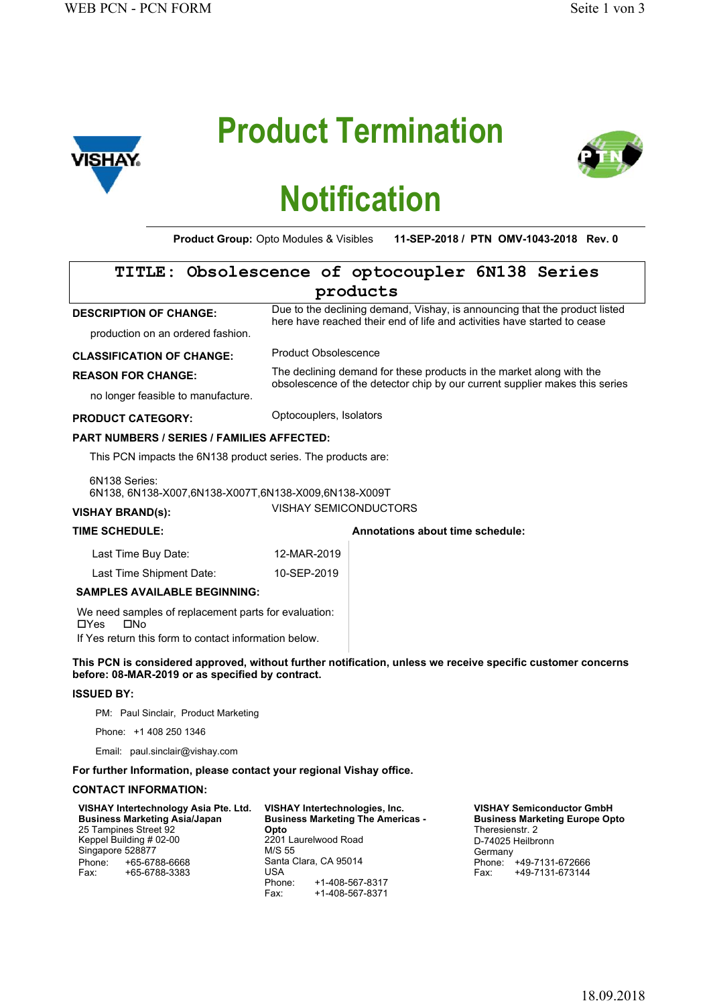

# **Product Termination**



## **Notification**

**Product Group:** Opto Modules & Visibles **11-SEP-2018 / PTN OMV-1043-2018 Rev. 0** 

## **TITLE: Obsolescence of optocoupler 6N138 Series products**

## **DESCRIPTION OF CHANGE:**

production on an ordered fashion.

**CLASSIFICATION OF CHANGE:** Product Obsolescence

The declining demand for these products in the market along with the

## **REASON FOR CHANGE:**

no longer feasible to manufacture.

## **PRODUCT CATEGORY:** Optocouplers, Isolators

## **PART NUMBERS / SERIES / FAMILIES AFFECTED:**

This PCN impacts the 6N138 product series. The products are:

6N138 Series: 6N138, 6N138-X007,6N138-X007T,6N138-X009,6N138-X009T **VISHAY BRAND(s): VISHAY SEMICONDUCTORS** 

**TIME SCHEDULE: Annotations about time schedule:**

Due to the declining demand, Vishay, is announcing that the product listed here have reached their end of life and activities have started to cease

obsolescence of the detector chip by our current supplier makes this series

| Last Time Buy Date:      | 12-MAR-2019 |
|--------------------------|-------------|
| Last Time Shipment Date: | 10-SEP-2019 |

## **SAMPLES AVAILABLE BEGINNING:**

We need samples of replacement parts for evaluation:  $\Box$ Yes  $\Box$ No

If Yes return this form to contact information below.

**This PCN is considered approved, without further notification, unless we receive specific customer concerns before: 08-MAR-2019 or as specified by contract.**

## **ISSUED BY:**

PM: Paul Sinclair, Product Marketing

Phone: +1 408 250 1346

Email: paul.sinclair@vishay.com

**For further Information, please contact your regional Vishay office.**

## **CONTACT INFORMATION:**

|                  | VISHAY Intertechnology Asia Pte. Ltd.<br><b>Business Marketing Asia/Japan</b> |                       | VISHAY Intertechnologies, Inc.<br><b>Business Marketing The Americas -</b> |
|------------------|-------------------------------------------------------------------------------|-----------------------|----------------------------------------------------------------------------|
|                  | 25 Tampines Street 92                                                         | Opto                  |                                                                            |
|                  | Keppel Building # 02-00                                                       |                       | 2201 Laurelwood Road                                                       |
| Singapore 528877 |                                                                               | M/S 55                |                                                                            |
| Phone:           | +65-6788-6668                                                                 | Santa Clara, CA 95014 |                                                                            |
| Fax:             | +65-6788-3383                                                                 | USA                   |                                                                            |
|                  |                                                                               | Phone:                | +1-408-567-8317                                                            |
|                  |                                                                               | Fax:                  | +1-408-567-8371                                                            |

**VISHAY Semiconductor GmbH Business Marketing Europe Opto** Theresienstr. 2 D-74025 Heilbronn Germany Phone: +49-7131-672666 Fax: +49-7131-673144